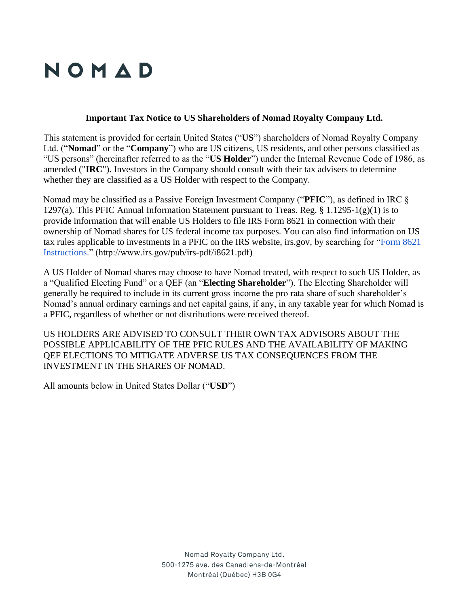## NOMAD

## **Important Tax Notice to US Shareholders of Nomad Royalty Company Ltd.**

This statement is provided for certain United States ("**US**") shareholders of Nomad Royalty Company Ltd. ("**Nomad**" or the "**Company**") who are US citizens, US residents, and other persons classified as "US persons" (hereinafter referred to as the "**US Holder**") under the Internal Revenue Code of 1986, as amended ("**IRC**"). Investors in the Company should consult with their tax advisers to determine whether they are classified as a US Holder with respect to the Company.

Nomad may be classified as a Passive Foreign Investment Company ("**PFIC**"), as defined in IRC § 1297(a). This PFIC Annual Information Statement pursuant to Treas. Reg. § 1.1295-1(g)(1) is to provide information that will enable US Holders to file IRS Form 8621 in connection with their ownership of Nomad shares for US federal income tax purposes. You can also find information on US tax rules applicable to investments in a PFIC on the IRS website, irs.gov, by searching for ["Form 8621](http://www.irs.gov/pub/irs-pdf/i8621.pdf)  [Instructions.](http://www.irs.gov/pub/irs-pdf/i8621.pdf)" (http://www.irs.gov/pub/irs-pdf/i8621.pdf)

A US Holder of Nomad shares may choose to have Nomad treated, with respect to such US Holder, as a "Qualified Electing Fund" or a QEF (an "**Electing Shareholder**"). The Electing Shareholder will generally be required to include in its current gross income the pro rata share of such shareholder's Nomad's annual ordinary earnings and net capital gains, if any, in any taxable year for which Nomad is a PFIC, regardless of whether or not distributions were received thereof.

US HOLDERS ARE ADVISED TO CONSULT THEIR OWN TAX ADVISORS ABOUT THE POSSIBLE APPLICABILITY OF THE PFIC RULES AND THE AVAILABILITY OF MAKING QEF ELECTIONS TO MITIGATE ADVERSE US TAX CONSEQUENCES FROM THE INVESTMENT IN THE SHARES OF NOMAD.

All amounts below in United States Dollar ("**USD**")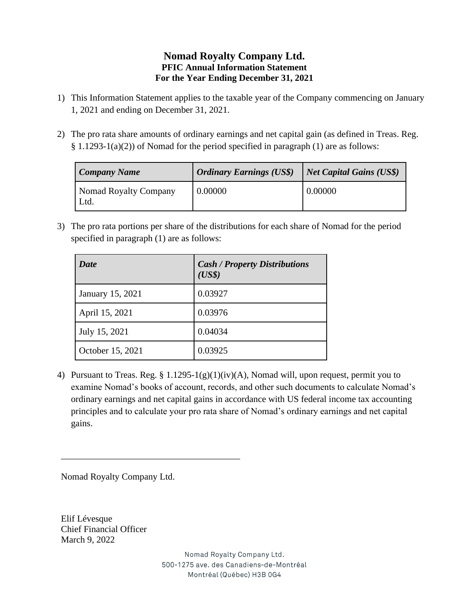## **Nomad Royalty Company Ltd. PFIC Annual Information Statement For the Year Ending December 31, 2021**

- 1) This Information Statement applies to the taxable year of the Company commencing on January 1, 2021 and ending on December 31, 2021.
- 2) The pro rata share amounts of ordinary earnings and net capital gain (as defined in Treas. Reg. § 1.1293-1(a)(2)) of Nomad for the period specified in paragraph (1) are as follows:

| <b>Company Name</b>          | <b>Ordinary Earnings (US\$)</b> | Net Capital Gains (US\$) |
|------------------------------|---------------------------------|--------------------------|
| Nomad Royalty Company<br>Ltd | 0.00000                         | 0.00000                  |

3) The pro rata portions per share of the distributions for each share of Nomad for the period specified in paragraph (1) are as follows:

| <b>Date</b>      | <b>Cash / Property Distributions</b><br>(US\$) |
|------------------|------------------------------------------------|
| January 15, 2021 | 0.03927                                        |
| April 15, 2021   | 0.03976                                        |
| July 15, 2021    | 0.04034                                        |
| October 15, 2021 | 0.03925                                        |

4) Pursuant to Treas. Reg. § 1.1295-1(g)(1)(iv)(A), Nomad will, upon request, permit you to examine Nomad's books of account, records, and other such documents to calculate Nomad's ordinary earnings and net capital gains in accordance with US federal income tax accounting principles and to calculate your pro rata share of Nomad's ordinary earnings and net capital gains.

Nomad Royalty Company Ltd.

\_\_\_\_\_\_\_\_\_\_\_\_\_\_\_\_\_\_\_\_\_\_\_\_\_\_\_\_\_\_\_\_\_\_\_\_\_\_\_

Elif Lévesque Chief Financial Officer March 9, 2022

> Nomad Royalty Company Ltd. 500-1275 ave. des Canadiens-de-Montréal Montréal (Québec) H3B 0G4